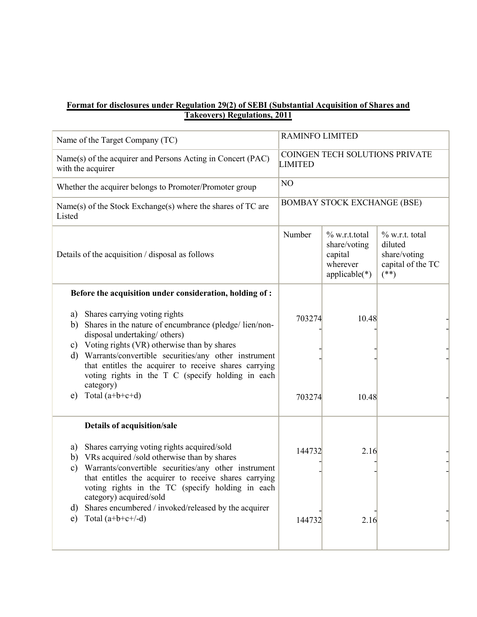|                                                                       | Format for disclosures under Regulation 29(2) of SEBI (Substantial Acquisition of Shares and                                                                                                 |                                                  |                                                                            |                                                                             |
|-----------------------------------------------------------------------|----------------------------------------------------------------------------------------------------------------------------------------------------------------------------------------------|--------------------------------------------------|----------------------------------------------------------------------------|-----------------------------------------------------------------------------|
|                                                                       | <b>Takeovers) Regulations, 2011</b>                                                                                                                                                          |                                                  |                                                                            |                                                                             |
|                                                                       | Name of the Target Company (TC)                                                                                                                                                              | <b>RAMINFO LIMITED</b>                           |                                                                            |                                                                             |
|                                                                       | Name(s) of the acquirer and Persons Acting in Concert (PAC)<br>with the acquirer                                                                                                             | COINGEN TECH SOLUTIONS PRIVATE<br><b>LIMITED</b> |                                                                            |                                                                             |
|                                                                       | Whether the acquirer belongs to Promoter/Promoter group                                                                                                                                      | NO                                               |                                                                            |                                                                             |
| Name(s) of the Stock Exchange(s) where the shares of TC are<br>Listed |                                                                                                                                                                                              | <b>BOMBAY STOCK EXCHANGE (BSE)</b>               |                                                                            |                                                                             |
|                                                                       | Details of the acquisition / disposal as follows                                                                                                                                             | Number                                           | $\%$ w.r.t.total<br>share/voting<br>capital<br>wherever<br>$applicable(*)$ | $\%$ w.r.t. total<br>diluted<br>share/voting<br>capital of the TC<br>$(**)$ |
|                                                                       | Before the acquisition under consideration, holding of :                                                                                                                                     |                                                  |                                                                            |                                                                             |
| a)<br>b)<br>c)                                                        | Shares carrying voting rights<br>Shares in the nature of encumbrance (pledge/lien/non-<br>disposal undertaking/ others)<br>Voting rights (VR) otherwise than by shares                       | 703274                                           | 10.48                                                                      |                                                                             |
| d)                                                                    | Warrants/convertible securities/any other instrument<br>that entitles the acquirer to receive shares carrying<br>voting rights in the T C (specify holding in each<br>category)              |                                                  |                                                                            |                                                                             |
| e)                                                                    | Total $(a+b+c+d)$                                                                                                                                                                            | 703274                                           | 10.48                                                                      |                                                                             |
|                                                                       | Details of acquisition/sale                                                                                                                                                                  |                                                  |                                                                            |                                                                             |
| a)<br>b)                                                              | Shares carrying voting rights acquired/sold<br>VRs acquired /sold otherwise than by shares                                                                                                   | 144732                                           | 2.16                                                                       |                                                                             |
| $\mathbf{c})$<br>d)                                                   | Warrants/convertible securities/any other instrument<br>that entitles the acquirer to receive shares carrying<br>voting rights in the TC (specify holding in each<br>category) acquired/sold |                                                  |                                                                            |                                                                             |
|                                                                       | Shares encumbered / invoked/released by the acquirer<br>Total $(a+b+c+/-d)$                                                                                                                  | 144732                                           | 2.16                                                                       |                                                                             |